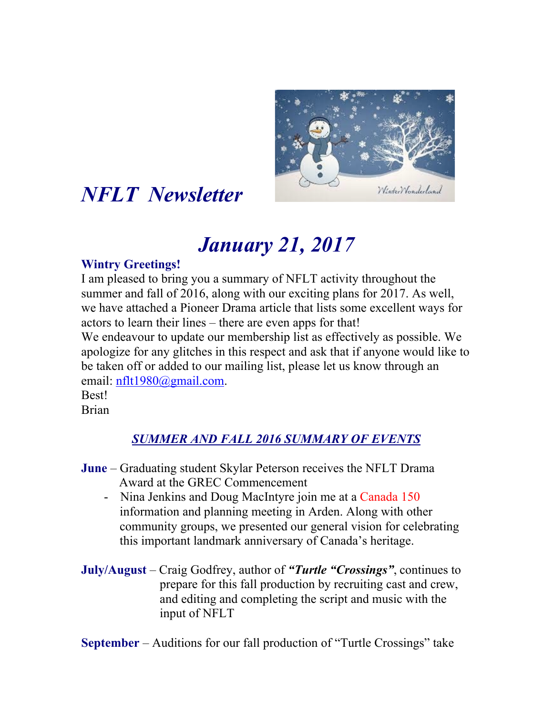

# *NFLT Newsletter*

# *January 21, 2017*

#### **Wintry Greetings!**

I am pleased to bring you a summary of NFLT activity throughout the summer and fall of 2016, along with our exciting plans for 2017. As well, we have attached a Pioneer Drama article that lists some excellent ways for actors to learn their lines – there are even apps for that! We endeavour to update our membership list as effectively as possible. We apologize for any glitches in this respect and ask that if anyone would like to be taken off or added to our mailing list, please let us know through an email: nflt1980@gmail.com. Best!

Brian

### *SUMMER AND FALL 2016 SUMMARY OF EVENTS*

- **June** Graduating student Skylar Peterson receives the NFLT Drama Award at the GREC Commencement
	- Nina Jenkins and Doug MacIntyre join me at a Canada 150 information and planning meeting in Arden. Along with other community groups, we presented our general vision for celebrating this important landmark anniversary of Canada's heritage.
- **July/August** Craig Godfrey, author of *"Turtle "Crossings"*, continues to prepare for this fall production by recruiting cast and crew, and editing and completing the script and music with the input of NFLT

**September** – Auditions for our fall production of "Turtle Crossings" take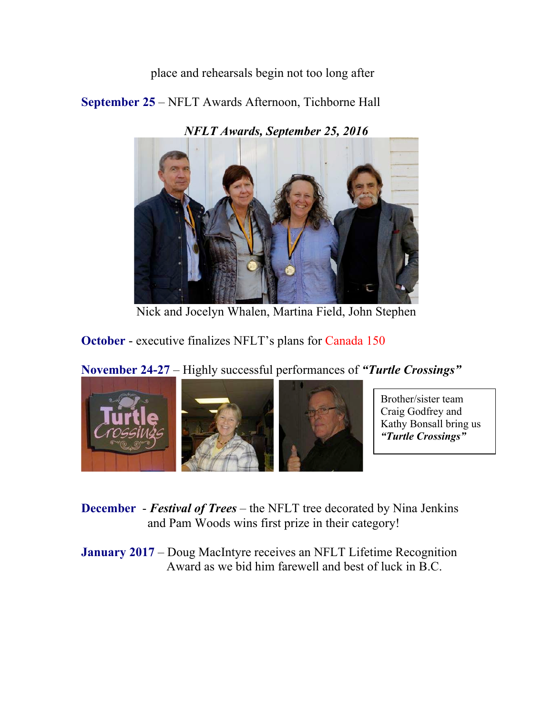place and rehearsals begin not too long after

**September 25** – NFLT Awards Afternoon, Tichborne Hall

*NFLT Awards, September 25, 2016* 



Nick and Jocelyn Whalen, Martina Field, John Stephen

**October** - executive finalizes NFLT's plans for Canada 150

**November 24-27** – Highly successful performances of *"Turtle Crossings"*



Brother/sister team Craig Godfrey and Kathy Bonsall bring us *"Turtle Crossings"*

**December** - *Festival of Trees* – the NFLT tree decorated by Nina Jenkins and Pam Woods wins first prize in their category!

**January 2017** – Doug MacIntyre receives an NFLT Lifetime Recognition Award as we bid him farewell and best of luck in B.C.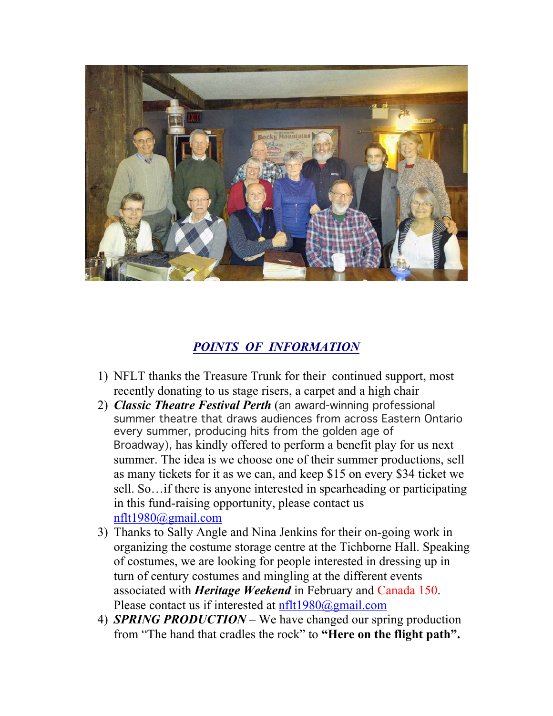

#### *POINTS OF INFORMATION*

- 1) NFLT thanks the Treasure Trunk for their continued support, most recently donating to us stage risers, a carpet and a high chair
- 2) *Classic Theatre Festival Perth* (an award-winning professional summer theatre that draws audiences from across Eastern Ontario every summer, producing hits from the golden age of Broadway), has kindly offered to perform a benefit play for us next summer. The idea is we choose one of their summer productions, sell as many tickets for it as we can, and keep \$15 on every \$34 ticket we sell. So…if there is anyone interested in spearheading or participating in this fund-raising opportunity, please contact us nflt1980@gmail.com
- 3) Thanks to Sally Angle and Nina Jenkins for their on-going work in organizing the costume storage centre at the Tichborne Hall. Speaking of costumes, we are looking for people interested in dressing up in turn of century costumes and mingling at the different events associated with *Heritage Weekend* in February and Canada 150. Please contact us if interested at  $nflt1980@gmail.com$
- 4) *SPRING PRODUCTION* We have changed our spring production from "The hand that cradles the rock" to **"Here on the flight path".**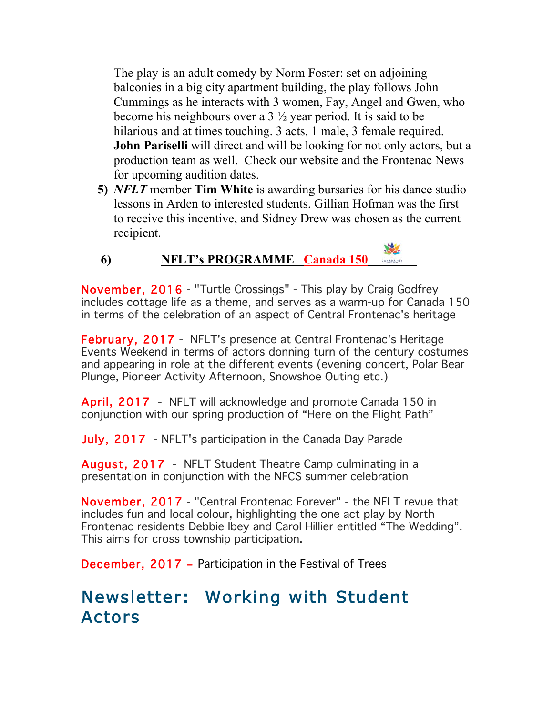The play is an adult comedy by Norm Foster: set on adjoining balconies in a big city apartment building, the play follows John Cummings as he interacts with 3 women, Fay, Angel and Gwen, who become his neighbours over a  $3\frac{1}{2}$  year period. It is said to be hilarious and at times touching. 3 acts, 1 male, 3 female required. **John Pariselli** will direct and will be looking for not only actors, but a production team as well. Check our website and the Frontenac News for upcoming audition dates.

**5)** *NFLT* member **Tim White** is awarding bursaries for his dance studio lessons in Arden to interested students. Gillian Hofman was the first to receive this incentive, and Sidney Drew was chosen as the current recipient.

### **6) NFLT's PROGRAMME Canada 150**

November, 2016 - "Turtle Crossings" - This play by Craig Godfrey includes cottage life as a theme, and serves as a warm-up for Canada 150 in terms of the celebration of an aspect of Central Frontenac's heritage

February, 2017 - NFLT's presence at Central Frontenac's Heritage Events Weekend in terms of actors donning turn of the century costumes and appearing in role at the different events (evening concert, Polar Bear Plunge, Pioneer Activity Afternoon, Snowshoe Outing etc.)

April, 2017 - NFLT will acknowledge and promote Canada 150 in conjunction with our spring production of "Here on the Flight Path"

July, 2017 - NFLT's participation in the Canada Day Parade

August, 2017 - NFLT Student Theatre Camp culminating in a presentation in conjunction with the NFCS summer celebration

November, 2017 - "Central Frontenac Forever" - the NFLT revue that includes fun and local colour, highlighting the one act play by North Frontenac residents Debbie Ibey and Carol Hillier entitled "The Wedding". This aims for cross township participation.

December, 2017 – Participation in the Festival of Trees

## Newsletter: Working with Student Actors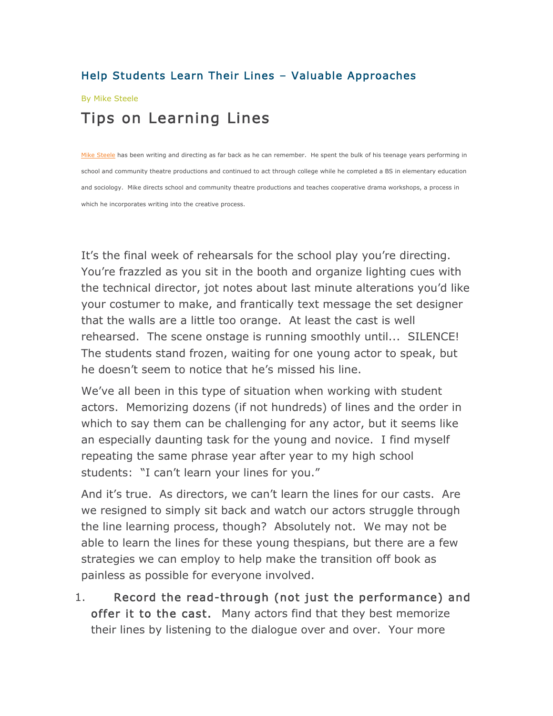#### Help Students Learn Their Lines – Valuable Approaches

#### By Mike Steele

### Tips on Learning Lines

Mike Steele has been writing and directing as far back as he can remember. He spent the bulk of his teenage years performing in school and community theatre productions and continued to act through college while he completed a BS in elementary education and sociology. Mike directs school and community theatre productions and teaches cooperative drama workshops, a process in which he incorporates writing into the creative process.

It's the final week of rehearsals for the school play you're directing. You're frazzled as you sit in the booth and organize lighting cues with the technical director, jot notes about last minute alterations you'd like your costumer to make, and frantically text message the set designer that the walls are a little too orange. At least the cast is well rehearsed. The scene onstage is running smoothly until... SILENCE! The students stand frozen, waiting for one young actor to speak, but he doesn't seem to notice that he's missed his line.

We've all been in this type of situation when working with student actors. Memorizing dozens (if not hundreds) of lines and the order in which to say them can be challenging for any actor, but it seems like an especially daunting task for the young and novice. I find myself repeating the same phrase year after year to my high school students: "I can't learn your lines for you."

And it's true. As directors, we can't learn the lines for our casts. Are we resigned to simply sit back and watch our actors struggle through the line learning process, though? Absolutely not. We may not be able to learn the lines for these young thespians, but there are a few strategies we can employ to help make the transition off book as painless as possible for everyone involved.

1. Record the read-through (not just the performance) and offer it to the cast. Many actors find that they best memorize their lines by listening to the dialogue over and over. Your more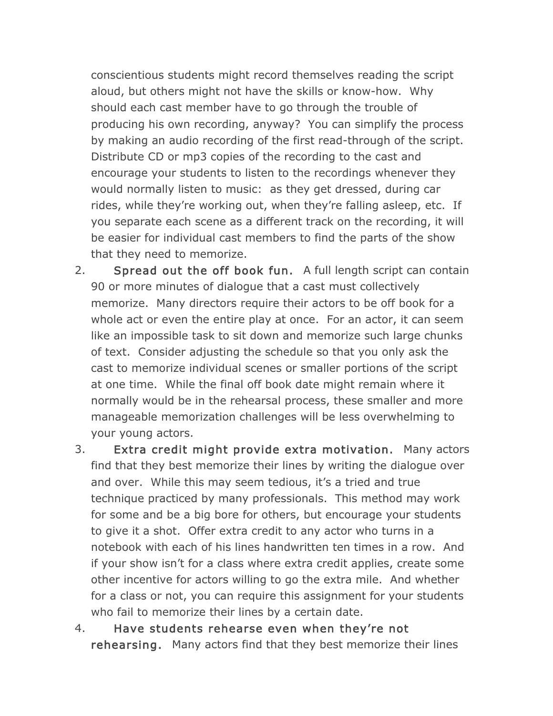conscientious students might record themselves reading the script aloud, but others might not have the skills or know-how. Why should each cast member have to go through the trouble of producing his own recording, anyway? You can simplify the process by making an audio recording of the first read-through of the script. Distribute CD or mp3 copies of the recording to the cast and encourage your students to listen to the recordings whenever they would normally listen to music: as they get dressed, during car rides, while they're working out, when they're falling asleep, etc. If you separate each scene as a different track on the recording, it will be easier for individual cast members to find the parts of the show that they need to memorize.

- 2. Spread out the off book fun. A full length script can contain 90 or more minutes of dialogue that a cast must collectively memorize. Many directors require their actors to be off book for a whole act or even the entire play at once. For an actor, it can seem like an impossible task to sit down and memorize such large chunks of text. Consider adjusting the schedule so that you only ask the cast to memorize individual scenes or smaller portions of the script at one time. While the final off book date might remain where it normally would be in the rehearsal process, these smaller and more manageable memorization challenges will be less overwhelming to your young actors.
- 3. Extra credit might provide extra motivation. Many actors find that they best memorize their lines by writing the dialogue over and over. While this may seem tedious, it's a tried and true technique practiced by many professionals. This method may work for some and be a big bore for others, but encourage your students to give it a shot. Offer extra credit to any actor who turns in a notebook with each of his lines handwritten ten times in a row. And if your show isn't for a class where extra credit applies, create some other incentive for actors willing to go the extra mile. And whether for a class or not, you can require this assignment for your students who fail to memorize their lines by a certain date.
- 4. Have students rehearse even when they're not rehearsing. Many actors find that they best memorize their lines